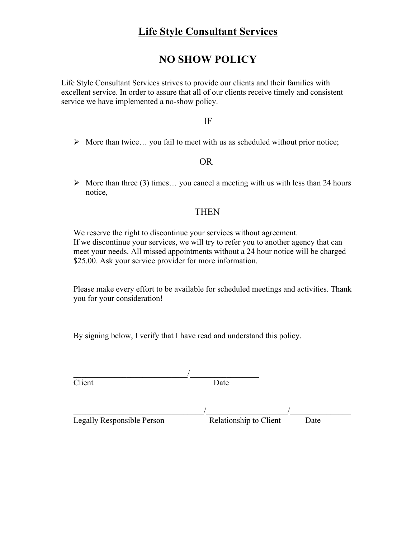## **NO SHOW POLICY**

Life Style Consultant Services strives to provide our clients and their families with excellent service. In order to assure that all of our clients receive timely and consistent service we have implemented a no-show policy.

### IF

 $\triangleright$  More than twice... you fail to meet with us as scheduled without prior notice;

### OR

 $\triangleright$  More than three (3) times... you cancel a meeting with us with less than 24 hours notice,

## THEN

We reserve the right to discontinue your services without agreement. If we discontinue your services, we will try to refer you to another agency that can meet your needs. All missed appointments without a 24 hour notice will be charged \$25.00. Ask your service provider for more information.

Please make every effort to be available for scheduled meetings and activities. Thank you for your consideration!

By signing below, I verify that I have read and understand this policy.

| Client                     | Date                   |      |
|----------------------------|------------------------|------|
|                            |                        |      |
|                            |                        |      |
| Legally Responsible Person | Relationship to Client | Date |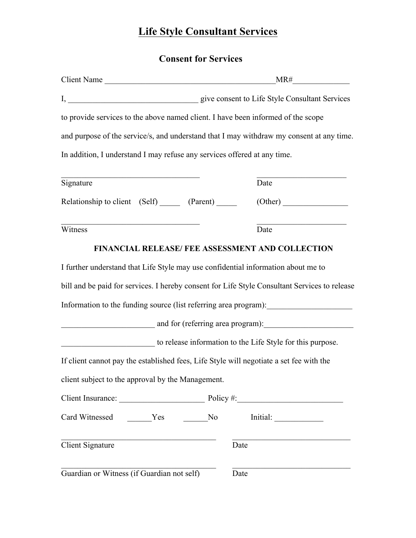# **Consent for Services**

| Client Name                                                              |                                                                                               |  |  |  |
|--------------------------------------------------------------------------|-----------------------------------------------------------------------------------------------|--|--|--|
|                                                                          | I, give consent to Life Style Consultant Services                                             |  |  |  |
|                                                                          | to provide services to the above named client. I have been informed of the scope              |  |  |  |
|                                                                          | and purpose of the service/s, and understand that I may withdraw my consent at any time.      |  |  |  |
| In addition, I understand I may refuse any services offered at any time. |                                                                                               |  |  |  |
| Signature                                                                | Date                                                                                          |  |  |  |
| Relationship to client (Self) _______ (Parent) _______                   |                                                                                               |  |  |  |
| Witness                                                                  | Date                                                                                          |  |  |  |
|                                                                          | FINANCIAL RELEASE/ FEE ASSESSMENT AND COLLECTION                                              |  |  |  |
|                                                                          | I further understand that Life Style may use confidential information about me to             |  |  |  |
|                                                                          | bill and be paid for services. I hereby consent for Life Style Consultant Services to release |  |  |  |
|                                                                          | Information to the funding source (list referring area program): ________________             |  |  |  |
|                                                                          | and for (referring area program):                                                             |  |  |  |
|                                                                          | to release information to the Life Style for this purpose.                                    |  |  |  |
|                                                                          | If client cannot pay the established fees, Life Style will negotiate a set fee with the       |  |  |  |
| client subject to the approval by the Management.                        |                                                                                               |  |  |  |
|                                                                          | Client Insurance: Policy #:                                                                   |  |  |  |
| Card Witnessed ________Yes __________No                                  | Initial:                                                                                      |  |  |  |
| <b>Client Signature</b>                                                  | Date                                                                                          |  |  |  |
| Guardian or Witness (if Guardian not self)                               | Date                                                                                          |  |  |  |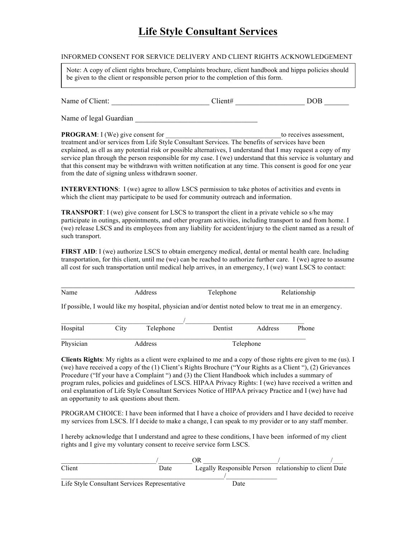#### INFORMED CONSENT FOR SERVICE DELIVERY AND CLIENT RIGHTS ACKNOWLEDGEMENT

Note: A copy of client rights brochure, Complaints brochure, client handbook and hippa policies should be given to the client or responsible person prior to the completion of this form.

| Name of Client: | 11ent# | OOB |
|-----------------|--------|-----|
|                 |        |     |

Name of legal Guardian \_\_\_\_\_\_\_\_\_\_\_\_\_\_\_\_\_\_\_\_\_\_\_\_\_\_\_\_\_\_

**PROGRAM**: I (We) give consent for the consent of the consent of the consent of the consent of the consent of the consent of the consent of the consent of the consent of the consent of the consent of the consent of the con

treatment and/or services from Life Style Consultant Services. The benefits of services have been explained, as ell as any potential risk or possible alternatives, I understand that I may request a copy of my service plan through the person responsible for my case. I (we) understand that this service is voluntary and that this consent may be withdrawn with written notification at any time. This consent is good for one year from the date of signing unless withdrawn sooner.

**INTERVENTIONS**: I (we) agree to allow LSCS permission to take photos of activities and events in which the client may participate to be used for community outreach and information.

**TRANSPORT**: I (we) give consent for LSCS to transport the client in a private vehicle so s/he may participate in outings, appointments, and other program activities, including transport to and from home. I (we) release LSCS and its employees from any liability for accident/injury to the client named as a result of such transport.

**FIRST AID**: I (we) authorize LSCS to obtain emergency medical, dental or mental health care. Including transportation, for this client, until me (we) can be reached to authorize further care. I (we) agree to assume all cost for such transportation until medical help arrives, in an emergency, I (we) want LSCS to contact:

| Name      |         | Address   | Telephone      |           | Relationship                                                                                             |
|-----------|---------|-----------|----------------|-----------|----------------------------------------------------------------------------------------------------------|
|           |         |           |                |           | If possible, I would like my hospital, physician and/or dentist noted below to treat me in an emergency. |
| Hospital  | City    | Telephone | <b>Dentist</b> | Address   | Phone                                                                                                    |
| Physician | Address |           |                | Telephone |                                                                                                          |

**Clients Rights**: My rights as a client were explained to me and a copy of those rights ere given to me (us). I (we) have received a copy of the (1) Client's Rights Brochure ("Your Rights as a Client "), (2) Grievances Procedure ("If your have a Complaint ") and (3) the Client Handbook which includes a summary of program rules, policies and guidelines of LSCS. HIPAA Privacy Rights: I (we) have received a written and oral explanation of Life Style Consultant Services Notice of HIPAA privacy Practice and I (we) have had an opportunity to ask questions about them.

PROGRAM CHOICE: I have been informed that I have a choice of providers and I have decided to receive my services from LSCS. If I decide to make a change, I can speak to my provider or to any staff member.

I hereby acknowledge that I understand and agree to these conditions, I have been informed of my client rights and I give my voluntary consent to receive service form LSCS.

|                                               |      | ЭR   |                                                        |
|-----------------------------------------------|------|------|--------------------------------------------------------|
| Client                                        | Date |      | Legally Responsible Person relationship to client Date |
|                                               |      |      |                                                        |
| Life Style Consultant Services Representative |      | Date |                                                        |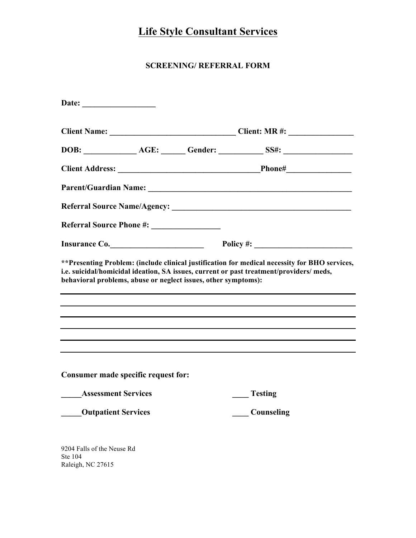## **SCREENING/ REFERRAL FORM**

|                                                                |  | Insurance Co. Policy #: 2000 Policy #:                                                                                                                                                    |  |  |
|----------------------------------------------------------------|--|-------------------------------------------------------------------------------------------------------------------------------------------------------------------------------------------|--|--|
| behavioral problems, abuse or neglect issues, other symptoms): |  | ** Presenting Problem: (include clinical justification for medical necessity for BHO services,<br>i.e. suicidal/homicidal ideation, SA issues, current or past treatment/providers/ meds, |  |  |
| Consumer made specific request for:                            |  |                                                                                                                                                                                           |  |  |
| <b>Assessment Services</b>                                     |  | <b>Testing</b>                                                                                                                                                                            |  |  |
| <b>Outpatient Services</b>                                     |  | Counseling                                                                                                                                                                                |  |  |
| 9204 Falls of the Neuse Rd<br>Ste 104<br>Raleigh, NC 27615     |  |                                                                                                                                                                                           |  |  |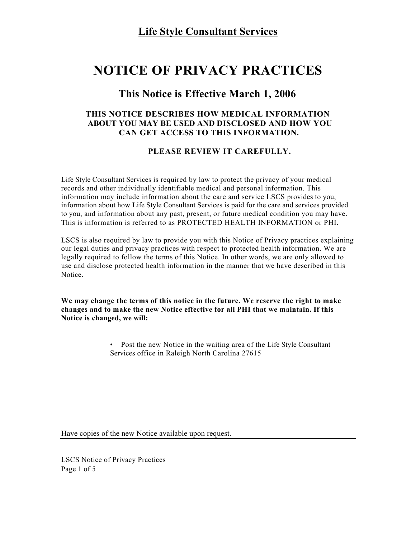# **NOTICE OF PRIVACY PRACTICES**

## **This Notice is Effective March 1, 2006**

#### **THIS NOTICE DESCRIBES HOW MEDICAL INFORMATION ABOUT YOU MAY BE USED AND DISCLOSED AND HOW YOU CAN GET ACCESS TO THIS INFORMATION.**

### **PLEASE REVIEW IT CAREFULLY.**

Life Style Consultant Services is required by law to protect the privacy of your medical records and other individually identifiable medical and personal information. This information may include information about the care and service LSCS provides to you, information about how Life Style Consultant Services is paid for the care and services provided to you, and information about any past, present, or future medical condition you may have. This is information is referred to as PROTECTED HEALTH INFORMATION or PHI.

LSCS is also required by law to provide you with this Notice of Privacy practices explaining our legal duties and privacy practices with respect to protected health information. We are legally required to follow the terms of this Notice. In other words, we are only allowed to use and disclose protected health information in the manner that we have described in this Notice.

**We may change the terms of this notice in the future. We reserve the right to make changes and to make the new Notice effective for all PHI that we maintain. If this Notice is changed, we will:**

> • Post the new Notice in the waiting area of the Life Style Consultant Services office in Raleigh North Carolina 27615

Have copies of the new Notice available upon request.

LSCS Notice of Privacy Practices Page 1 of 5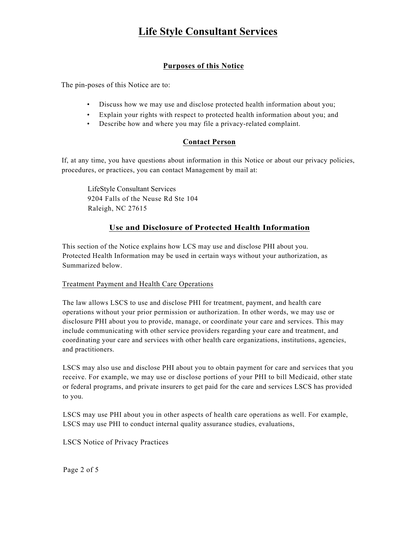## **Purposes of this Notice**

The pin-poses of this Notice are to:

- Discuss how we may use and disclose protected health information about you;
- Explain your rights with respect to protected health information about you; and
- Describe how and where you may file a privacy-related complaint.

#### **Contact Person**

If, at any time, you have questions about information in this Notice or about our privacy policies, procedures, or practices, you can contact Management by mail at:

LifeStyle Consultant Services 9204 Falls of the Neuse Rd Ste 104 Raleigh, NC 27615

### **Use and Disclosure of Protected Health Information**

This section of the Notice explains how LCS may use and disclose PHI about you. Protected Health Information may be used in certain ways without your authorization, as Summarized below.

#### Treatment Payment and Health Care Operations

The law allows LSCS to use and disclose PHI for treatment, payment, and health care operations without your prior permission or authorization. In other words, we may use or disclosure PHI about you to provide, manage, or coordinate your care and services. This may include communicating with other service providers regarding your care and treatment, and coordinating your care and services with other health care organizations, institutions, agencies, and practitioners.

LSCS may also use and disclose PHI about you to obtain payment for care and services that you receive. For example, we may use or disclose portions of your PHI to bill Medicaid, other state or federal programs, and private insurers to get paid for the care and services LSCS has provided to you.

LSCS may use PHI about you in other aspects of health care operations as well. For example, LSCS may use PHI to conduct internal quality assurance studies, evaluations,

LSCS Notice of Privacy Practices

Page 2 of 5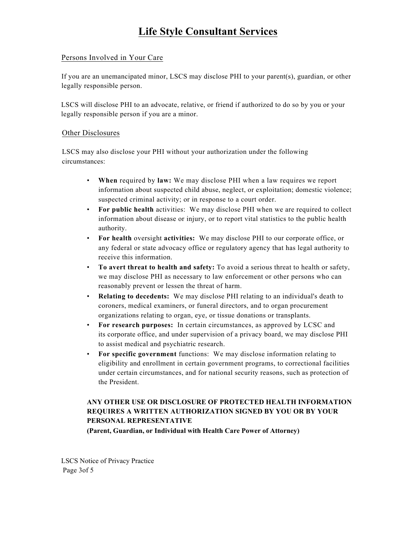#### Persons Involved in Your Care

If you are an unemancipated minor, LSCS may disclose PHI to your parent(s), guardian, or other legally responsible person.

LSCS will disclose PHI to an advocate, relative, or friend if authorized to do so by you or your legally responsible person if you are a minor.

#### Other Disclosures

LSCS may also disclose your PHI without your authorization under the following circumstances:

- **When** required by **law:** We may disclose PHI when a law requires we report information about suspected child abuse, neglect, or exploitation; domestic violence; suspected criminal activity; or in response to a court order.
- **For public health** activities: We may disclose PHI when we are required to collect information about disease or injury, or to report vital statistics to the public health authority.
- **For health** oversight **activities:** We may disclose PHI to our corporate office, or any federal or state advocacy office or regulatory agency that has legal authority to receive this information.
- **To avert threat to health and safety:** To avoid a serious threat to health or safety, we may disclose PHI as necessary to law enforcement or other persons who can reasonably prevent or lessen the threat of harm.
- **Relating to decedents:** We may disclose PHI relating to an individual's death to coroners, medical examiners, or funeral directors, and to organ procurement organizations relating to organ, eye, or tissue donations or transplants.
- **For research purposes:** In certain circumstances, as approved by LCSC and its corporate office, and under supervision of a privacy board, we may disclose PHI to assist medical and psychiatric research.
- **For specific government** functions: We may disclose information relating to eligibility and enrollment in certain government programs, to correctional facilities under certain circumstances, and for national security reasons, such as protection of the President.

### **ANY OTHER USE OR DISCLOSURE OF PROTECTED HEALTH INFORMATION REQUIRES A WRITTEN AUTHORIZATION SIGNED BY YOU OR BY YOUR PERSONAL REPRESENTATIVE**

**(Parent, Guardian, or Individual with Health Care Power of Attorney)**

LSCS Notice of Privacy Practice Page 3of 5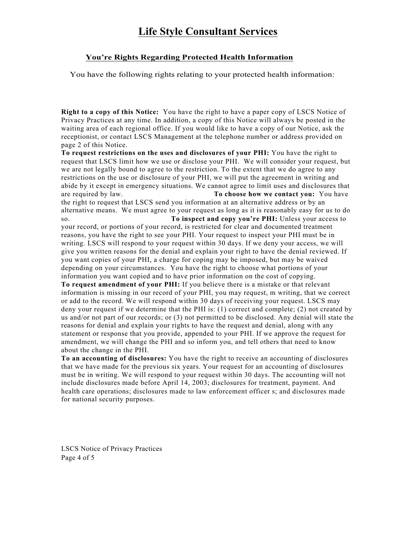#### **You're Rights Regarding Protected Health Information**

You have the following rights relating to your protected health information:

**Right to a copy of this Notice:** You have the right to have a paper copy of LSCS Notice of Privacy Practices at any time. In addition, a copy of this Notice will always be posted in the waiting area of each regional office. If you would like to have a copy of our Notice, ask the receptionist, or contact LSCS Management at the telephone number or address provided on page 2 of this Notice.

**To request restrictions on the uses and disclosures of your PHI:** You have the right to request that LSCS limit how we use or disclose your PHI. We will consider your request, but we are not legally bound to agree to the restriction. To the extent that we do agree to any restrictions on the use or disclosure of your PHI, we will put the agreement in writing and abide by it except in emergency situations. We cannot agree to limit uses and disclosures that are required by law. **To choose how we contact you:** You have the right to request that LSCS send you information at an alternative address or by an alternative means. We must agree to your request as long as it is reasonably easy for us to do so. **To inspect and copy you're PHI:** Unless your access to your record, or portions of your record, is restricted for clear and documented treatment reasons, you have the right to see your PHI. Your request to inspect your PHI must be in writing. LSCS will respond to your request within 30 days. If we deny your access, we will give you written reasons for the denial and explain your right to have the denial reviewed. If you want copies of your PHI, a charge for coping may be imposed, but may be waived depending on your circumstances. You have the right to choose what portions of your information you want copied and to have prior information on the cost of copying.

**To request amendment of your PHI:** If you believe there is a mistake or that relevant information is missing in our record of your PHI, you may request, m writing, that we correct or add to the record. We will respond within 30 days of receiving your request. LSCS may deny your request if we determine that the PHI is: (1) correct and complete; (2) not created by us and/or not part of our records; or (3) not permitted to be disclosed. Any denial will state the reasons for denial and explain your rights to have the request and denial, along with any statement or response that you provide, appended to your PHI. If we approve the request for amendment, we will change the PHI and so inform you, and tell others that need to know about the change in the PHI.

**To an accounting of disclosures:** You have the right to receive an accounting of disclosures that we have made for the previous six years. Your request for an accounting of disclosures must be in writing. We will respond to your request within 30 days. The accounting will not include disclosures made before April 14, 2003; disclosures for treatment, payment. And health care operations; disclosures made to law enforcement officer s; and disclosures made for national security purposes.

LSCS Notice of Privacy Practices Page 4 of 5